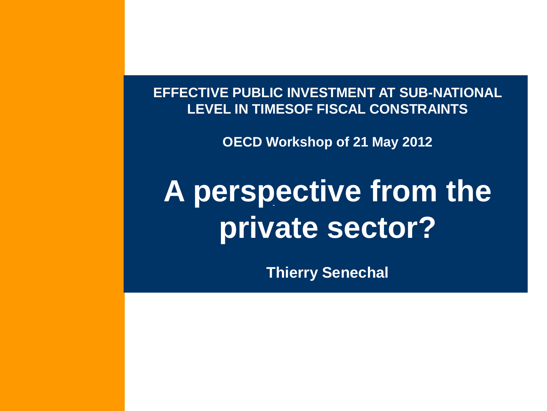**EFFECTIVE PUBLIC INVESTMENT AT SUB-NATIONAL LEVEL IN TIMESOF FISCAL CONSTRAINTS**

**OECD Workshop of 21 May 2012**

# **A perspective from the private sector?**

**Thierry Senechal**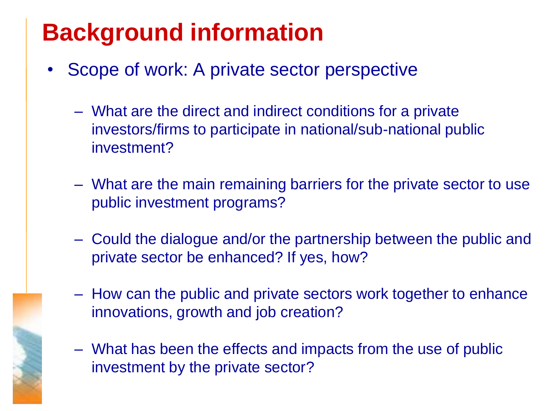## **Background information**

- Scope of work: A private sector perspective
	- What are the direct and indirect conditions for a private investors/firms to participate in national/sub-national public investment?
	- What are the main remaining barriers for the private sector to use public investment programs?
	- Could the dialogue and/or the partnership between the public and private sector be enhanced? If yes, how?
	- How can the public and private sectors work together to enhance innovations, growth and job creation?
	- What has been the effects and impacts from the use of public investment by the private sector?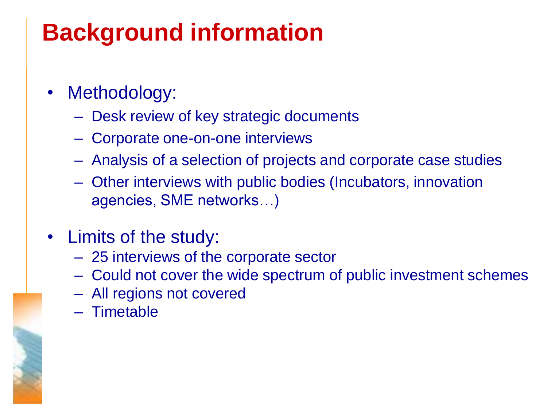## **Background information**

- Methodology:
	- Desk review of key strategic documents
	- Corporate one-on-one interviews
	- Analysis of a selection of projects and corporate case studies
	- Other interviews with public bodies (Incubators, innovation agencies, SME networks…)
- Limits of the study:
	- 25 interviews of the corporate sector
	- Could not cover the wide spectrum of public investment schemes
	- All regions not covered
	- Timetable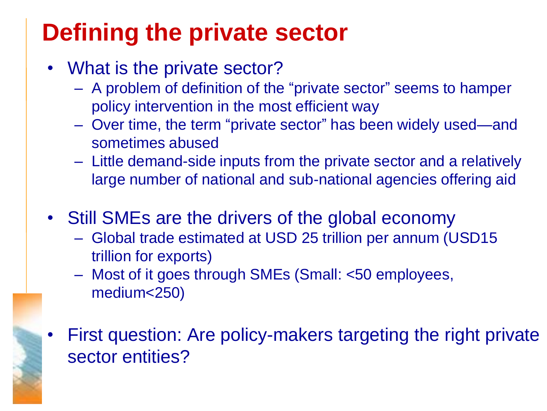## **Defining the private sector**

- What is the private sector?
	- A problem of definition of the "private sector" seems to hamper policy intervention in the most efficient way
	- Over time, the term "private sector" has been widely used—and sometimes abused
	- Little demand-side inputs from the private sector and a relatively large number of national and sub-national agencies offering aid
- Still SMEs are the drivers of the global economy
	- Global trade estimated at USD 25 trillion per annum (USD15 trillion for exports)
	- Most of it goes through SMEs (Small: <50 employees, medium<250)
- First question: Are policy-makers targeting the right private sector entities?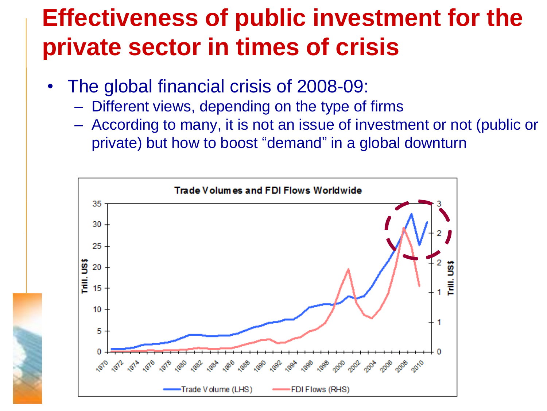#### **Effectiveness of public investment for the private sector in times of crisis**

- The global financial crisis of 2008-09:
	- Different views, depending on the type of firms
	- According to many, it is not an issue of investment or not (public or private) but how to boost "demand" in a global downturn

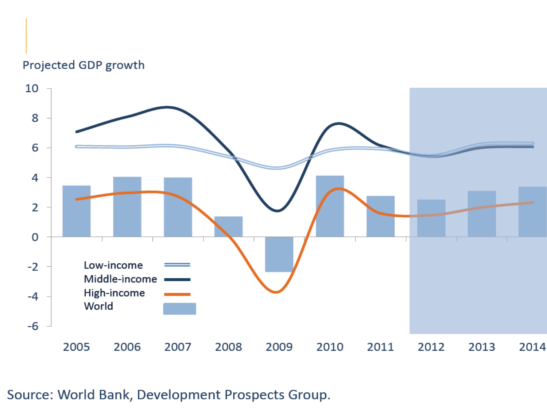#### Projected GDP growth



Source: World Bank, Development Prospects Group.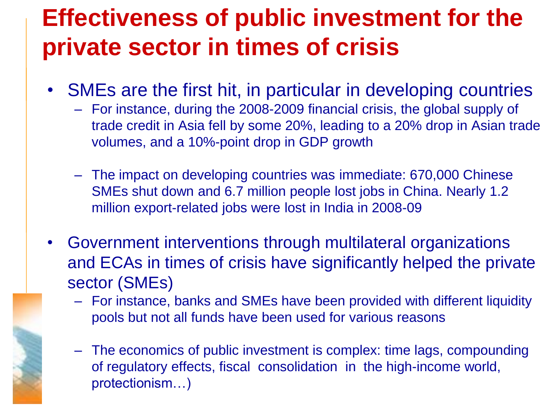### **Effectiveness of public investment for the private sector in times of crisis**

- SMEs are the first hit, in particular in developing countries
	- For instance, during the 2008-2009 financial crisis, the global supply of trade credit in Asia fell by some 20%, leading to a 20% drop in Asian trade volumes, and a 10%-point drop in GDP growth
	- The impact on developing countries was immediate: 670,000 Chinese SMEs shut down and 6.7 million people lost jobs in China. Nearly 1.2 million export-related jobs were lost in India in 2008-09
- Government interventions through multilateral organizations and ECAs in times of crisis have significantly helped the private sector (SMEs)
	- For instance, banks and SMEs have been provided with different liquidity pools but not all funds have been used for various reasons
	- The economics of public investment is complex: time lags, compounding of regulatory effects, fiscal consolidation in the high-income world, protectionism…)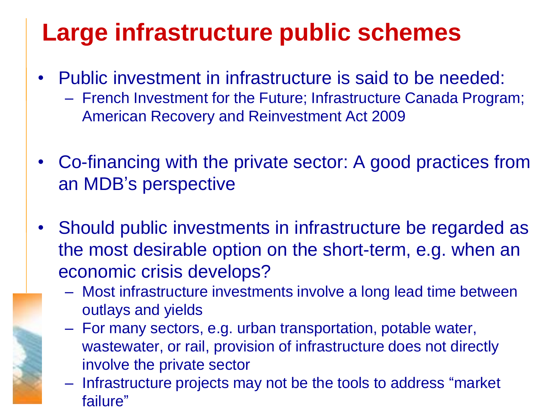#### **Large infrastructure public schemes**

- Public investment in infrastructure is said to be needed:
	- French Investment for the Future; Infrastructure Canada Program; American Recovery and Reinvestment Act 2009
- Co-financing with the private sector: A good practices from an MDB's perspective
- Should public investments in infrastructure be regarded as the most desirable option on the short-term, e.g. when an economic crisis develops?
	- Most infrastructure investments involve a long lead time between outlays and yields
	- For many sectors, e.g. urban transportation, potable water, wastewater, or rail, provision of infrastructure does not directly involve the private sector
	- Infrastructure projects may not be the tools to address "market" failure"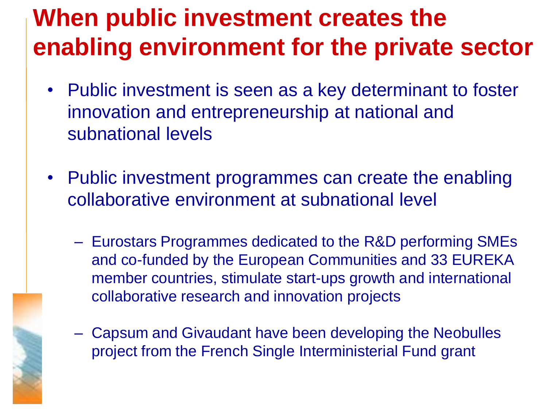#### **When public investment creates the enabling environment for the private sector**

- Public investment is seen as a key determinant to foster innovation and entrepreneurship at national and subnational levels
- Public investment programmes can create the enabling collaborative environment at subnational level
	- Eurostars Programmes dedicated to the R&D performing SMEs and co-funded by the European Communities and 33 EUREKA member countries, stimulate start-ups growth and international collaborative research and innovation projects
	- Capsum and Givaudant have been developing the Neobulles project from the French Single Interministerial Fund grant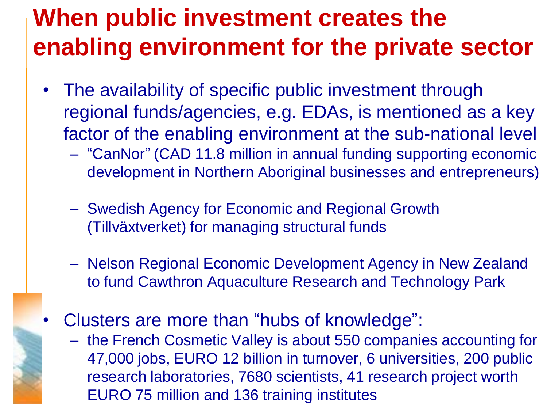#### **When public investment creates the enabling environment for the private sector**

- The availability of specific public investment through regional funds/agencies, e.g. EDAs, is mentioned as a key factor of the enabling environment at the sub-national level
	- "CanNor" (CAD 11.8 million in annual funding supporting economic development in Northern Aboriginal businesses and entrepreneurs)
	- Swedish Agency for Economic and Regional Growth (Tillväxtverket) for managing structural funds
	- Nelson Regional Economic Development Agency in New Zealand to fund Cawthron Aquaculture Research and Technology Park
- Clusters are more than "hubs of knowledge":
	- the French Cosmetic Valley is about 550 companies accounting for 47,000 jobs, EURO 12 billion in turnover, 6 universities, 200 public research laboratories, 7680 scientists, 41 research project worth EURO 75 million and 136 training institutes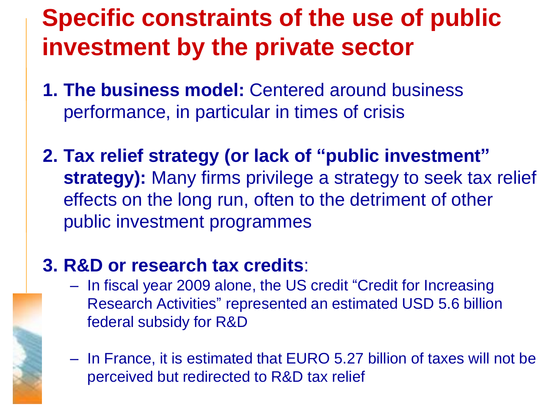### **Specific constraints of the use of public investment by the private sector**

- **1. The business model:** Centered around business performance, in particular in times of crisis
- **2. Tax relief strategy (or lack of "public investment" strategy):** Many firms privilege a strategy to seek tax relief effects on the long run, often to the detriment of other public investment programmes

#### **3. R&D or research tax credits**:

- In fiscal year 2009 alone, the US credit "Credit for Increasing Research Activities" represented an estimated USD 5.6 billion federal subsidy for R&D
- In France, it is estimated that EURO 5.27 billion of taxes will not be perceived but redirected to R&D tax relief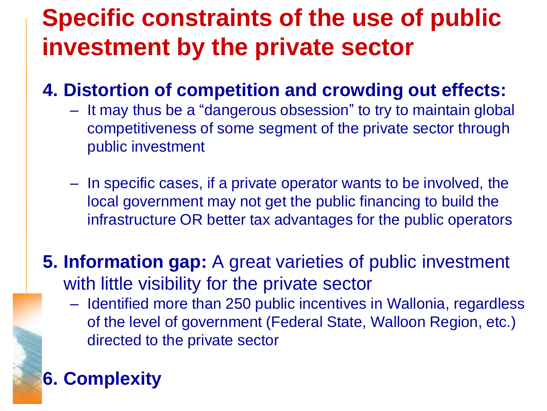### **Specific constraints of the use of public investment by the private sector**

#### **4. Distortion of competition and crowding out effects:**

- It may thus be a "dangerous obsession" to try to maintain global competitiveness of some segment of the private sector through public investment
- In specific cases, if a private operator wants to be involved, the local government may not get the public financing to build the infrastructure OR better tax advantages for the public operators
- **5. Information gap:** A great varieties of public investment with little visibility for the private sector
	- Identified more than 250 public incentives in Wallonia, regardless of the level of government (Federal State, Walloon Region, etc.) directed to the private sector

#### **6. Complexity**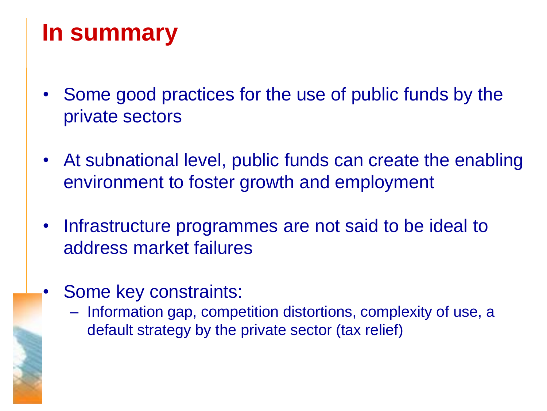### **In summary**

- Some good practices for the use of public funds by the private sectors
- At subnational level, public funds can create the enabling environment to foster growth and employment
- Infrastructure programmes are not said to be ideal to address market failures
- Some key constraints:
	- Information gap, competition distortions, complexity of use, a default strategy by the private sector (tax relief)